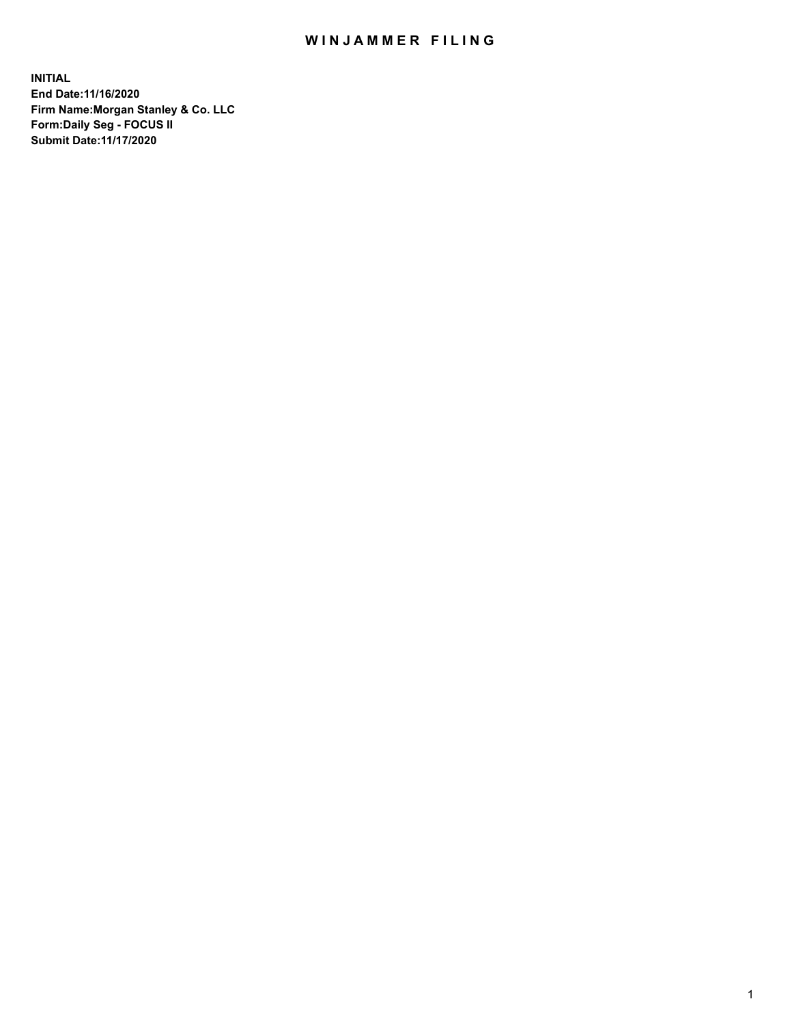## WIN JAMMER FILING

**INITIAL End Date:11/16/2020 Firm Name:Morgan Stanley & Co. LLC Form:Daily Seg - FOCUS II Submit Date:11/17/2020**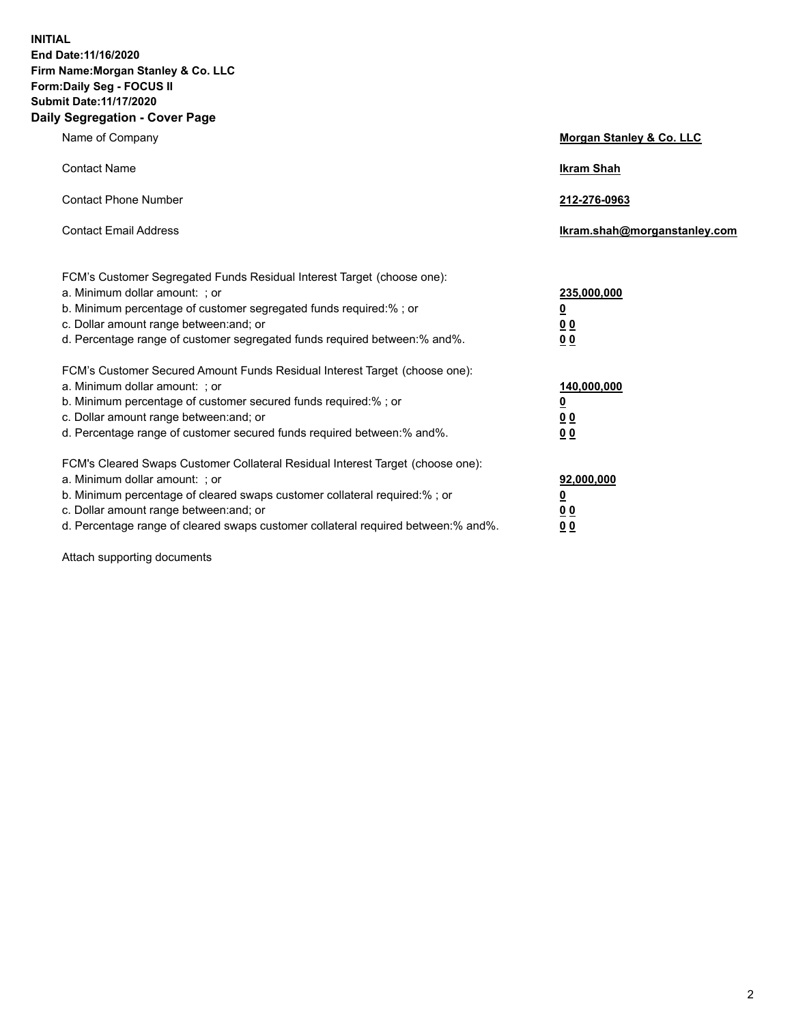**INITIAL End Date:11/16/2020 Firm Name:Morgan Stanley & Co. LLC Form:Daily Seg - FOCUS II Submit Date:11/17/2020 Daily Segregation - Cover Page**

| Name of Company                                                                                                                                                                                                                                                                                                                | Morgan Stanley & Co. LLC                               |
|--------------------------------------------------------------------------------------------------------------------------------------------------------------------------------------------------------------------------------------------------------------------------------------------------------------------------------|--------------------------------------------------------|
| <b>Contact Name</b>                                                                                                                                                                                                                                                                                                            | <b>Ikram Shah</b>                                      |
| <b>Contact Phone Number</b>                                                                                                                                                                                                                                                                                                    | 212-276-0963                                           |
| <b>Contact Email Address</b>                                                                                                                                                                                                                                                                                                   | Ikram.shah@morganstanley.com                           |
| FCM's Customer Segregated Funds Residual Interest Target (choose one):<br>a. Minimum dollar amount: ; or<br>b. Minimum percentage of customer segregated funds required:%; or<br>c. Dollar amount range between: and; or<br>d. Percentage range of customer segregated funds required between:% and%.                          | 235,000,000<br><u>0</u><br><u>00</u><br><u>00</u>      |
| FCM's Customer Secured Amount Funds Residual Interest Target (choose one):<br>a. Minimum dollar amount: ; or<br>b. Minimum percentage of customer secured funds required:%; or<br>c. Dollar amount range between: and; or<br>d. Percentage range of customer secured funds required between:% and%.                            | 140,000,000<br><u>0</u><br><u>00</u><br>0 <sub>0</sub> |
| FCM's Cleared Swaps Customer Collateral Residual Interest Target (choose one):<br>a. Minimum dollar amount: ; or<br>b. Minimum percentage of cleared swaps customer collateral required:% ; or<br>c. Dollar amount range between: and; or<br>d. Percentage range of cleared swaps customer collateral required between:% and%. | 92,000,000<br><u>0</u><br><u>00</u><br>00              |

Attach supporting documents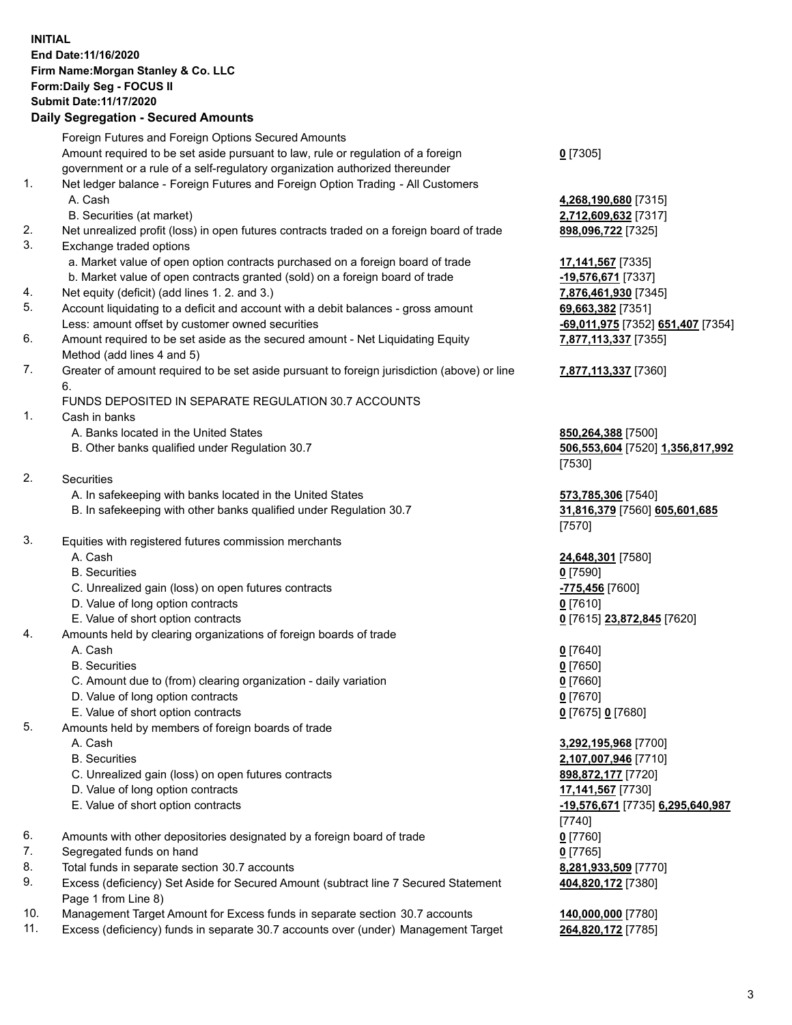## **INITIAL End Date:11/16/2020 Firm Name:Morgan Stanley & Co. LLC Form:Daily Seg - FOCUS II Submit Date:11/17/2020**

## **Daily Segregation - Secured Amounts**

|          | Foreign Futures and Foreign Options Secured Amounts<br>Amount required to be set aside pursuant to law, rule or regulation of a foreign | $0$ [7305]                                |
|----------|-----------------------------------------------------------------------------------------------------------------------------------------|-------------------------------------------|
|          | government or a rule of a self-regulatory organization authorized thereunder                                                            |                                           |
| 1.       | Net ledger balance - Foreign Futures and Foreign Option Trading - All Customers                                                         |                                           |
|          | A. Cash                                                                                                                                 | 4,268,190,680 [7315]                      |
|          | B. Securities (at market)                                                                                                               | 2,712,609,632 [7317]                      |
| 2.       | Net unrealized profit (loss) in open futures contracts traded on a foreign board of trade                                               | 898,096,722 [7325]                        |
| 3.       | Exchange traded options                                                                                                                 |                                           |
|          | a. Market value of open option contracts purchased on a foreign board of trade                                                          | 17,141,567 [7335]                         |
|          | b. Market value of open contracts granted (sold) on a foreign board of trade                                                            | -19,576,671 [7337]                        |
| 4.<br>5. | Net equity (deficit) (add lines 1.2. and 3.)<br>Account liquidating to a deficit and account with a debit balances - gross amount       | 7,876,461,930 [7345]                      |
|          | Less: amount offset by customer owned securities                                                                                        | 69,663,382 [7351]                         |
| 6.       | Amount required to be set aside as the secured amount - Net Liquidating Equity                                                          | 69,011,975 [7352]<br>7,877,113,337 [7355] |
|          | Method (add lines 4 and 5)                                                                                                              |                                           |
| 7.       | Greater of amount required to be set aside pursuant to foreign jurisdiction (above) or line<br>6.                                       | 7,877,113,337 [7360]                      |
|          | FUNDS DEPOSITED IN SEPARATE REGULATION 30.7 ACCOUNTS                                                                                    |                                           |
| 1.       | Cash in banks                                                                                                                           |                                           |
|          | A. Banks located in the United States                                                                                                   | 850,264,388 [7500]                        |
|          | B. Other banks qualified under Regulation 30.7                                                                                          | 506,553,604 [7520] 1                      |
|          |                                                                                                                                         | [7530]                                    |
| 2.       | Securities                                                                                                                              |                                           |
|          | A. In safekeeping with banks located in the United States                                                                               | 573,785,306 [7540]                        |
|          | B. In safekeeping with other banks qualified under Regulation 30.7                                                                      | 31,816,379 [7560] 60<br>[7570]            |
| 3.       | Equities with registered futures commission merchants                                                                                   |                                           |
|          | A. Cash                                                                                                                                 | 24,648,301 [7580]                         |
|          | <b>B.</b> Securities                                                                                                                    | $0$ [7590]                                |
|          | C. Unrealized gain (loss) on open futures contracts                                                                                     | -775,456 [7600]                           |
|          | D. Value of long option contracts                                                                                                       | $0$ [7610]                                |
|          | E. Value of short option contracts                                                                                                      | 0 [7615] 23,872,845 [                     |
| 4.       | Amounts held by clearing organizations of foreign boards of trade                                                                       |                                           |
|          | A. Cash                                                                                                                                 | $0$ [7640]                                |
|          | <b>B.</b> Securities                                                                                                                    | $0$ [7650]                                |
|          | C. Amount due to (from) clearing organization - daily variation                                                                         | $0$ [7660]                                |
|          | D. Value of long option contracts                                                                                                       | $0$ [7670]                                |
|          | E. Value of short option contracts                                                                                                      | 0 [7675] 0 [7680]                         |
| 5.       | Amounts held by members of foreign boards of trade                                                                                      |                                           |
|          | A. Cash                                                                                                                                 | 3,292,195,968 [7700]                      |
|          | <b>B.</b> Securities                                                                                                                    | 2,107,007,946 [7710]                      |
|          | C. Unrealized gain (loss) on open futures contracts                                                                                     | 898,872,177 [7720]                        |
|          | D. Value of long option contracts                                                                                                       | 17,141,567 [7730]                         |
|          | E. Value of short option contracts                                                                                                      | <u>-19,576,671</u> [7735] 6.              |
| 6.       | Amounts with other depositories designated by a foreign board of trade                                                                  | [7740]<br>$0$ [7760]                      |
| 7.       | Segregated funds on hand                                                                                                                | $0$ [7765]                                |
| 8.       | Total funds in separate section 30.7 accounts                                                                                           | 8,281,933,509 [7770]                      |
| 9.       | Excess (deficiency) Set Aside for Secured Amount (subtract line 7 Secured Statement                                                     | 404,820,172 [7380]                        |
|          | Page 1 from Line 8)                                                                                                                     |                                           |

- 10. Management Target Amount for Excess funds in separate section 30.7 accounts **140,000,000** [7780]
- 11. Excess (deficiency) funds in separate 30.7 accounts over (under) Management Target **264,820,172** [7785]

 A. Cash **4,268,190,680** [7315] **609,632** [7317] **6,671** [7337]

Less: amount offset by customer owned securities **-69,011,975** [7352] **651,407** [7354] **7,877,113,337** [7355]

## **7,877,113,337** [7360]

**A.388** [7500] B. Other banks qualified under Regulation 30.7 **506,553,604** [7520] **1,356,817,992**

85,306 [7540] 8. 379 [7560] **605,601,685** 

E. Value of short option contracts **0** [7615] **23,872,845** [7620]

 A. Cash **3,292,195,968** [7700] **007,946** [7710] 2,177<sub>[7720]</sub> E. Value of short option contracts **-19,576,671** [7735] **6,295,640,987 404,820,172** [7380]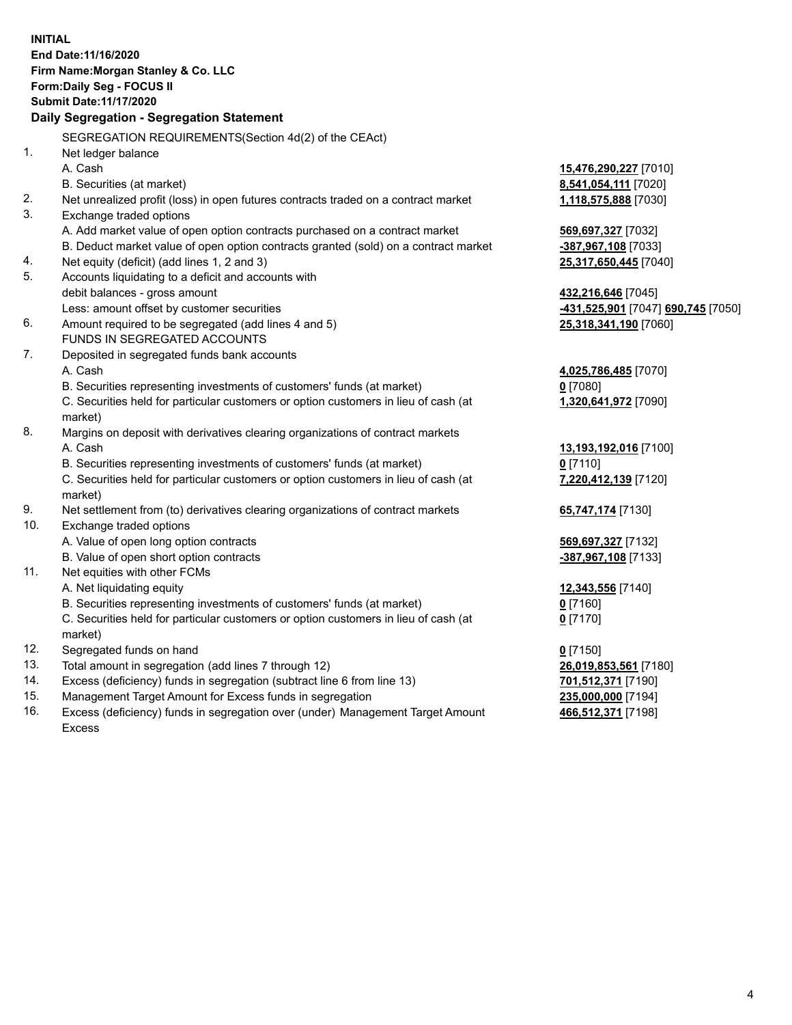**INITIAL End Date:11/16/2020 Firm Name:Morgan Stanley & Co. LLC Form:Daily Seg - FOCUS II Submit Date:11/17/2020 Daily Segregation - Segregation Statement** SEGREGATION REQUIREMENTS(Section 4d(2) of the CEAct) 1. Net ledger balance A. Cash **15,476,290,227** [7010] B. Securities (at market) **8,541,054,111** [7020] 2. Net unrealized profit (loss) in open futures contracts traded on a contract market **1,118,575,888** [7030] 3. Exchange traded options A. Add market value of open option contracts purchased on a contract market **569,697,327** [7032] B. Deduct market value of open option contracts granted (sold) on a contract market **-387,967,108** [7033] 4. Net equity (deficit) (add lines 1, 2 and 3) **25,317,650,445** [7040] 5. Accounts liquidating to a deficit and accounts with debit balances - gross amount **432,216,646** [7045] Less: amount offset by customer securities **-431,525,901** [7047] **690,745** [7050] 6. Amount required to be segregated (add lines 4 and 5) **25,318,341,190** [7060] FUNDS IN SEGREGATED ACCOUNTS 7. Deposited in segregated funds bank accounts A. Cash **4,025,786,485** [7070] B. Securities representing investments of customers' funds (at market) **0** [7080] C. Securities held for particular customers or option customers in lieu of cash (at market) **1,320,641,972** [7090] 8. Margins on deposit with derivatives clearing organizations of contract markets A. Cash **13,193,192,016** [7100] B. Securities representing investments of customers' funds (at market) **0** [7110] C. Securities held for particular customers or option customers in lieu of cash (at market) **7,220,412,139** [7120] 9. Net settlement from (to) derivatives clearing organizations of contract markets **65,747,174** [7130] 10. Exchange traded options A. Value of open long option contracts **569,697,327** [7132] B. Value of open short option contracts **-387,967,108** [7133] 11. Net equities with other FCMs A. Net liquidating equity **12,343,556** [7140] B. Securities representing investments of customers' funds (at market) **0** [7160] C. Securities held for particular customers or option customers in lieu of cash (at market) **0** [7170] 12. Segregated funds on hand **0** [7150] 13. Total amount in segregation (add lines 7 through 12) **26,019,853,561** [7180] 14. Excess (deficiency) funds in segregation (subtract line 6 from line 13) **701,512,371** [7190] 15. Management Target Amount for Excess funds in segregation **235,000,000** [7194]

16. Excess (deficiency) funds in segregation over (under) Management Target Amount Excess

**466,512,371** [7198]